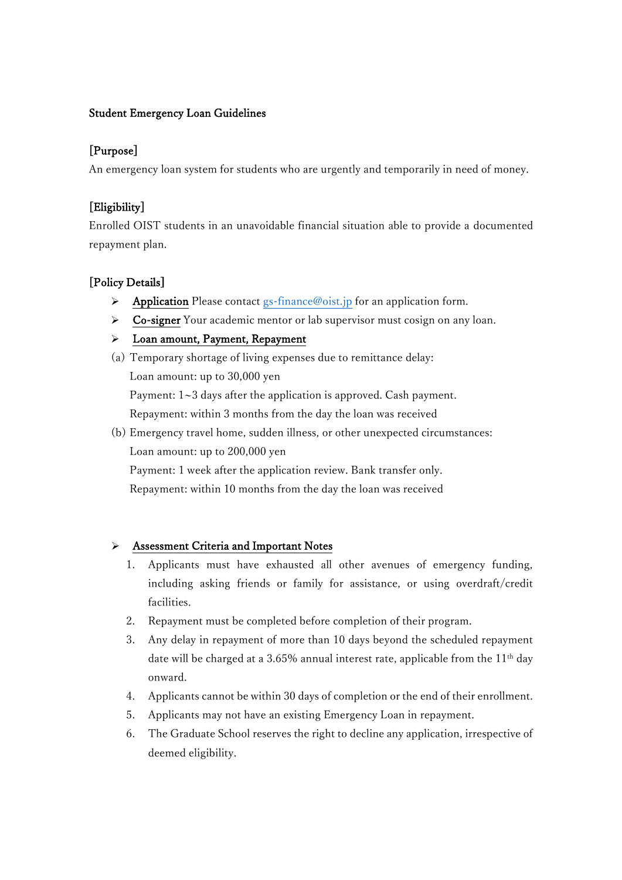### Student Emergency Loan Guidelines

### [Purpose]

An emergency loan system for students who are urgently and temporarily in need of money.

### [Eligibility]

Enrolled OIST students in an unavoidable financial situation able to provide a documented repayment plan.

## [Policy Details]

- $\triangleright$  Application Please contact gs-finance @oist.jp for an application form.
- ➢ Co-signer Your academic mentor or lab supervisor must cosign on any loan.
- ➢ Loan amount, Payment, Repayment
- (a) Temporary shortage of living expenses due to remittance delay: Loan amount: up to 30,000 yen Payment: 1~3 days after the application is approved. Cash payment. Repayment: within 3 months from the day the loan was received
- (b) Emergency travel home, sudden illness, or other unexpected circumstances: Loan amount: up to 200,000 yen

Payment: 1 week after the application review. Bank transfer only. Repayment: within 10 months from the day the loan was received

### ➢ Assessment Criteria and Important Notes

- 1. Applicants must have exhausted all other avenues of emergency funding, including asking friends or family for assistance, or using overdraft/credit facilities.
- 2. Repayment must be completed before completion of their program.
- 3. Any delay in repayment of more than 10 days beyond the scheduled repayment date will be charged at a 3.65% annual interest rate, applicable from the  $11<sup>th</sup>$  day onward.
- 4. Applicants cannot be within 30 days of completion or the end of their enrollment.
- 5. Applicants may not have an existing Emergency Loan in repayment.
- 6. The Graduate School reserves the right to decline any application, irrespective of deemed eligibility.